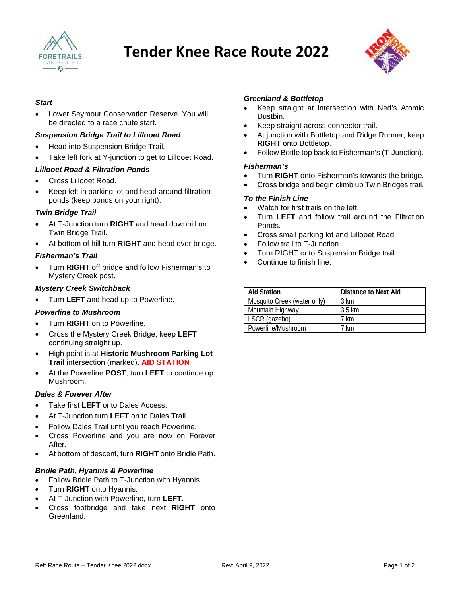



### *Start*

• Lower Seymour Conservation Reserve. You will be directed to a race chute start.

### *Suspension Bridge Trail to Lillooet Road*

- Head into Suspension Bridge Trail.
- Take left fork at Y-junction to get to Lillooet Road.

# *Lillooet Road & Filtration Ponds*

- Cross Lillooet Road.
- Keep left in parking lot and head around filtration ponds (keep ponds on your right).

# *Twin Bridge Trail*

- At T-Junction turn **RIGHT** and head downhill on Twin Bridge Trail.
- At bottom of hill turn **RIGHT** and head over bridge.

# *Fisherman's Trail*

• Turn **RIGHT** off bridge and follow Fisherman's to Mystery Creek post.

# *Mystery Creek Switchback*

• Turn **LEFT** and head up to Powerline.

### *Powerline to Mushroom*

- Turn **RIGHT** on to Powerline.
- Cross the Mystery Creek Bridge, keep **LEFT** continuing straight up.
- High point is at **Historic Mushroom Parking Lot Trail** intersection (marked). **AID STATION**
- At the Powerline **POST**, turn **LEFT** to continue up Mushroom.

# *Dales & Forever After*

- Take first **LEFT** onto Dales Access.
- At T-Junction turn **LEFT** on to Dales Trail.
- Follow Dales Trail until you reach Powerline.
- Cross Powerline and you are now on Forever After.
- At bottom of descent, turn **RIGHT** onto Bridle Path.

### *Bridle Path, Hyannis & Powerline*

- Follow Bridle Path to T-Junction with Hyannis.
- Turn **RIGHT** onto Hyannis.
- At T-Junction with Powerline, turn **LEFT**.
- Cross footbridge and take next **RIGHT** onto Greenland.

#### *Greenland & Bottletop*

- Keep straight at intersection with Ned's Atomic Dustbin.
- Keep straight across connector trail.
- At junction with Bottletop and Ridge Runner, keep **RIGHT** onto Bottletop.
- Follow Bottle top back to Fisherman's (T-Junction).

#### *Fisherman's*

- Turn **RIGHT** onto Fisherman's towards the bridge.
- Cross bridge and begin climb up Twin Bridges trail.

#### *To the Finish Line*

- Watch for first trails on the left.
- Turn **LEFT** and follow trail around the Filtration Ponds.
- Cross small parking lot and Lillooet Road.
- Follow trail to T-Junction.
- Turn RIGHT onto Suspension Bridge trail.
- Continue to finish line.

| <b>Aid Station</b>          | <b>Distance to Next Aid</b> |
|-----------------------------|-----------------------------|
| Mosquito Creek (water only) | 3 km                        |
| Mountain Highway            | $3.5 \text{ km}$            |
| LSCR (gazebo)               | 7 km                        |
| Powerline/Mushroom          | ' km                        |